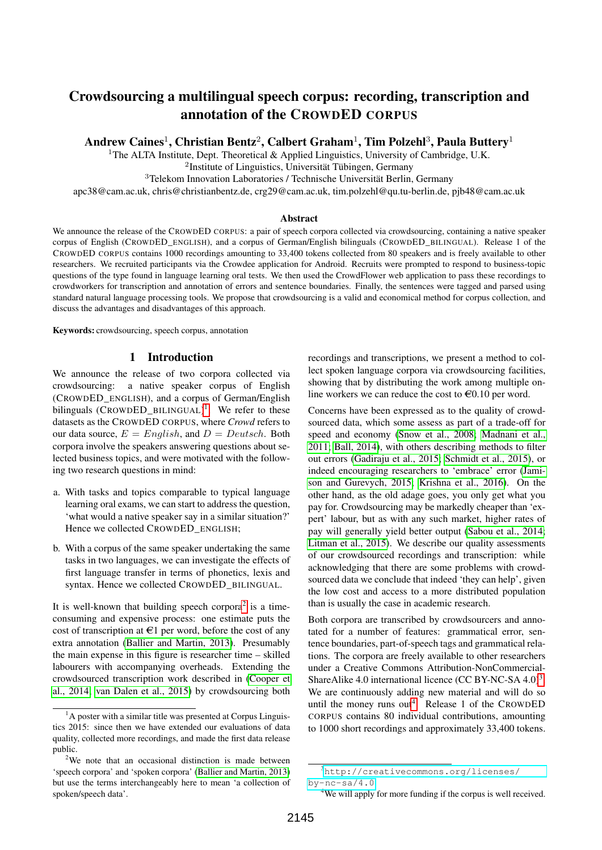# Crowdsourcing a multilingual speech corpus: recording, transcription and annotation of the CROWDED CORPUS

Andrew Caines $^1$ , Christian Bentz $^2$ , Calbert Graham $^1$ , Tim Polzehl $^3$ , Paula Buttery $^1$ 

<sup>1</sup>The ALTA Institute, Dept. Theoretical & Applied Linguistics, University of Cambridge, U.K.

<sup>2</sup>Institute of Linguistics, Universität Tübingen, Germany

<sup>3</sup>Telekom Innovation Laboratories / Technische Universität Berlin, Germany

apc38@cam.ac.uk, chris@christianbentz.de, crg29@cam.ac.uk, tim.polzehl@qu.tu-berlin.de, pjb48@cam.ac.uk

#### **Abstract**

We announce the release of the CROWDED CORPUS: a pair of speech corpora collected via crowdsourcing, containing a native speaker corpus of English (CROWDED\_ENGLISH), and a corpus of German/English bilinguals (CROWDED\_BILINGUAL). Release 1 of the CROWDED CORPUS contains 1000 recordings amounting to 33,400 tokens collected from 80 speakers and is freely available to other researchers. We recruited participants via the Crowdee application for Android. Recruits were prompted to respond to business-topic questions of the type found in language learning oral tests. We then used the CrowdFlower web application to pass these recordings to crowdworkers for transcription and annotation of errors and sentence boundaries. Finally, the sentences were tagged and parsed using standard natural language processing tools. We propose that crowdsourcing is a valid and economical method for corpus collection, and discuss the advantages and disadvantages of this approach.

Keywords: crowdsourcing, speech corpus, annotation

#### 1 Introduction

We announce the release of two corpora collected via crowdsourcing: a native speaker corpus of English (CROWDED\_ENGLISH), and a corpus of German/English bilinguals (CROWDED\_BILINGUAL)<sup>[1](#page-0-0)</sup>. We refer to these datasets as the CROWDED CORPUS, where *Crowd* refers to our data source,  $E = English$ , and  $D = Deutsche$  . Both corpora involve the speakers answering questions about selected business topics, and were motivated with the following two research questions in mind:

- a. With tasks and topics comparable to typical language learning oral exams, we can start to address the question, 'what would a native speaker say in a similar situation?' Hence we collected CROWDED\_ENGLISH;
- b. With a corpus of the same speaker undertaking the same tasks in two languages, we can investigate the effects of first language transfer in terms of phonetics, lexis and syntax. Hence we collected CROWDED\_BILINGUAL.

It is well-known that building speech corpora<sup>[2](#page-0-1)</sup> is a timeconsuming and expensive process: one estimate puts the cost of transcription at  $\in$ 1 per word, before the cost of any extra annotation [\(Ballier and Martin, 2013\)](#page-6-0). Presumably the main expense in this figure is researcher time – skilled labourers with accompanying overheads. Extending the crowdsourced transcription work described in [\(Cooper et](#page-7-0) [al., 2014;](#page-7-0) [van Dalen et al., 2015\)](#page-7-1) by crowdsourcing both recordings and transcriptions, we present a method to collect spoken language corpora via crowdsourcing facilities, showing that by distributing the work among multiple online workers we can reduce the cost to  $\epsilon 0.10$  per word.

Concerns have been expressed as to the quality of crowdsourced data, which some assess as part of a trade-off for speed and economy [\(Snow et al., 2008;](#page-7-2) [Madnani et al.,](#page-7-3) [2011;](#page-7-3) [Ball, 2014\)](#page-6-1), with others describing methods to filter out errors [\(Gadiraju et al., 2015;](#page-7-4) [Schmidt et al., 2015\)](#page-7-5), or indeed encouraging researchers to 'embrace' error [\(Jami](#page-7-6)[son and Gurevych, 2015;](#page-7-6) [Krishna et al., 2016\)](#page-7-7). On the other hand, as the old adage goes, you only get what you pay for. Crowdsourcing may be markedly cheaper than 'expert' labour, but as with any such market, higher rates of pay will generally yield better output [\(Sabou et al., 2014;](#page-7-8) [Litman et al., 2015\)](#page-7-9). We describe our quality assessments of our crowdsourced recordings and transcription: while acknowledging that there are some problems with crowdsourced data we conclude that indeed 'they can help', given the low cost and access to a more distributed population than is usually the case in academic research.

Both corpora are transcribed by crowdsourcers and annotated for a number of features: grammatical error, sentence boundaries, part-of-speech tags and grammatical relations. The corpora are freely available to other researchers under a Creative Commons Attribution-NonCommercial-ShareAlike 4.0 international licence (CC BY-NC-SA  $4.0$ )<sup>[3](#page-0-2)</sup>. We are continuously adding new material and will do so until the money runs out<sup>[4](#page-0-3)</sup>. Release 1 of the CROWDED CORPUS contains 80 individual contributions, amounting to 1000 short recordings and approximately 33,400 tokens.

<span id="page-0-0"></span><sup>&</sup>lt;sup>1</sup>A poster with a similar title was presented at Corpus Linguistics 2015: since then we have extended our evaluations of data quality, collected more recordings, and made the first data release public.

<span id="page-0-1"></span><sup>&</sup>lt;sup>2</sup>We note that an occasional distinction is made between 'speech corpora' and 'spoken corpora' [\(Ballier and Martin, 2013\)](#page-6-0) but use the terms interchangeably here to mean 'a collection of spoken/speech data'.

<span id="page-0-4"></span><span id="page-0-2"></span><sup>3</sup>[http://creativecommons.org/licenses/](http://creativecommons.org/licenses/by-nc-sa/4.0)  $by-nc-sa/4.0$ 

<span id="page-0-3"></span><sup>&</sup>lt;sup>4</sup>We will apply for more funding if the corpus is well received.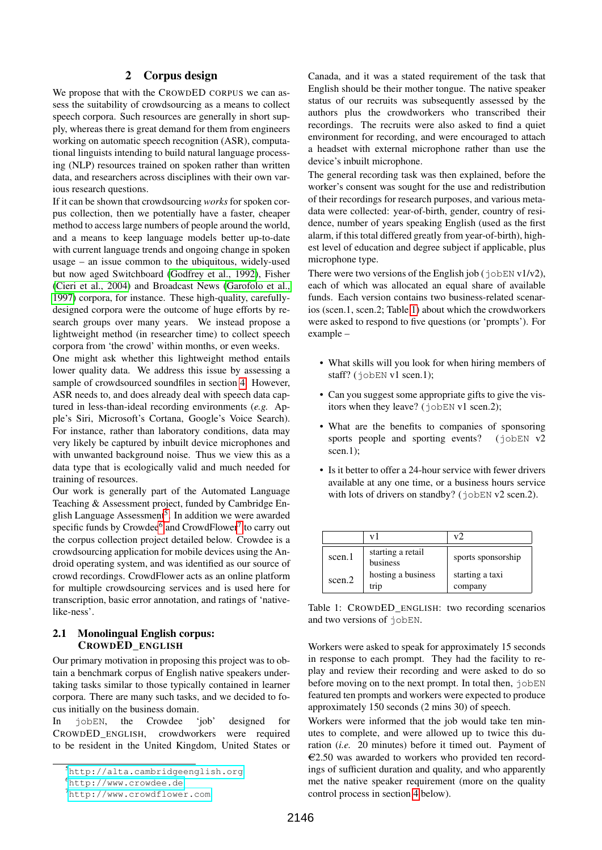#### 2 Corpus design

We propose that with the CROWDED CORPUS we can assess the suitability of crowdsourcing as a means to collect speech corpora. Such resources are generally in short supply, whereas there is great demand for them from engineers working on automatic speech recognition (ASR), computational linguists intending to build natural language processing (NLP) resources trained on spoken rather than written data, and researchers across disciplines with their own various research questions.

If it can be shown that crowdsourcing *works* for spoken corpus collection, then we potentially have a faster, cheaper method to access large numbers of people around the world, and a means to keep language models better up-to-date with current language trends and ongoing change in spoken usage – an issue common to the ubiquitous, widely-used but now aged Switchboard [\(Godfrey et al., 1992\)](#page-7-10), Fisher [\(Cieri et al., 2004\)](#page-7-11) and Broadcast News [\(Garofolo et al.,](#page-7-12) [1997\)](#page-7-12) corpora, for instance. These high-quality, carefullydesigned corpora were the outcome of huge efforts by research groups over many years. We instead propose a lightweight method (in researcher time) to collect speech corpora from 'the crowd' within months, or even weeks.

One might ask whether this lightweight method entails lower quality data. We address this issue by assessing a sample of crowdsourced soundfiles in section [4.](#page-5-0) However, ASR needs to, and does already deal with speech data captured in less-than-ideal recording environments (*e.g.* Apple's Siri, Microsoft's Cortana, Google's Voice Search). For instance, rather than laboratory conditions, data may very likely be captured by inbuilt device microphones and with unwanted background noise. Thus we view this as a data type that is ecologically valid and much needed for training of resources.

Our work is generally part of the Automated Language Teaching & Assessment project, funded by Cambridge En-glish Language Assessment<sup>[5](#page-1-0)</sup>. In addition we were awarded specific funds by Crowdee<sup>[6](#page-1-1)</sup> and CrowdFlower<sup>[7](#page-1-2)</sup> to carry out the corpus collection project detailed below. Crowdee is a crowdsourcing application for mobile devices using the Android operating system, and was identified as our source of crowd recordings. CrowdFlower acts as an online platform for multiple crowdsourcing services and is used here for transcription, basic error annotation, and ratings of 'nativelike-ness'.

#### 2.1 Monolingual English corpus: CROWDED\_ENGLISH

Our primary motivation in proposing this project was to obtain a benchmark corpus of English native speakers undertaking tasks similar to those typically contained in learner corpora. There are many such tasks, and we decided to focus initially on the business domain.

In jobEN, the Crowdee 'job' designed for CROWDED\_ENGLISH, crowdworkers were required to be resident in the United Kingdom, United States or Canada, and it was a stated requirement of the task that English should be their mother tongue. The native speaker status of our recruits was subsequently assessed by the authors plus the crowdworkers who transcribed their recordings. The recruits were also asked to find a quiet environment for recording, and were encouraged to attach a headset with external microphone rather than use the device's inbuilt microphone.

The general recording task was then explained, before the worker's consent was sought for the use and redistribution of their recordings for research purposes, and various metadata were collected: year-of-birth, gender, country of residence, number of years speaking English (used as the first alarm, if this total differed greatly from year-of-birth), highest level of education and degree subject if applicable, plus microphone type.

There were two versions of the English job ( $j$ obEN v1/v2), each of which was allocated an equal share of available funds. Each version contains two business-related scenarios (scen.1, scen.2; Table [1\)](#page-1-3) about which the crowdworkers were asked to respond to five questions (or 'prompts'). For example –

- What skills will you look for when hiring members of staff? (jobEN v1 scen.1);
- Can you suggest some appropriate gifts to give the visitors when they leave? (jobEN v1 scen.2);
- What are the benefits to companies of sponsoring sports people and sporting events?  $(jobEN V2)$ scen.1):
- Is it better to offer a 24-hour service with fewer drivers available at any one time, or a business hours service with lots of drivers on standby? (jobEN v2 scen.2).

|        | vI                            | v2                         |
|--------|-------------------------------|----------------------------|
| scen.1 | starting a retail<br>business | sports sponsorship         |
| scen.2 | hosting a business<br>trip    | starting a taxi<br>company |

<span id="page-1-3"></span>Table 1: CROWDED\_ENGLISH: two recording scenarios and two versions of jobEN.

Workers were asked to speak for approximately 15 seconds in response to each prompt. They had the facility to replay and review their recording and were asked to do so before moving on to the next prompt. In total then,  $\dot{\phi}$  jobEN featured ten prompts and workers were expected to produce approximately 150 seconds (2 mins 30) of speech.

Workers were informed that the job would take ten minutes to complete, and were allowed up to twice this duration (*i.e.* 20 minutes) before it timed out. Payment of  $\epsilon$ 2.50 was awarded to workers who provided ten recordings of sufficient duration and quality, and who apparently met the native speaker requirement (more on the quality control process in section [4](#page-5-0) below).

<span id="page-1-0"></span><sup>5</sup><http://alta.cambridgeenglish.org>

<span id="page-1-1"></span><sup>6</sup><http://www.crowdee.de>

<span id="page-1-2"></span><sup>7</sup><http://www.crowdflower.com>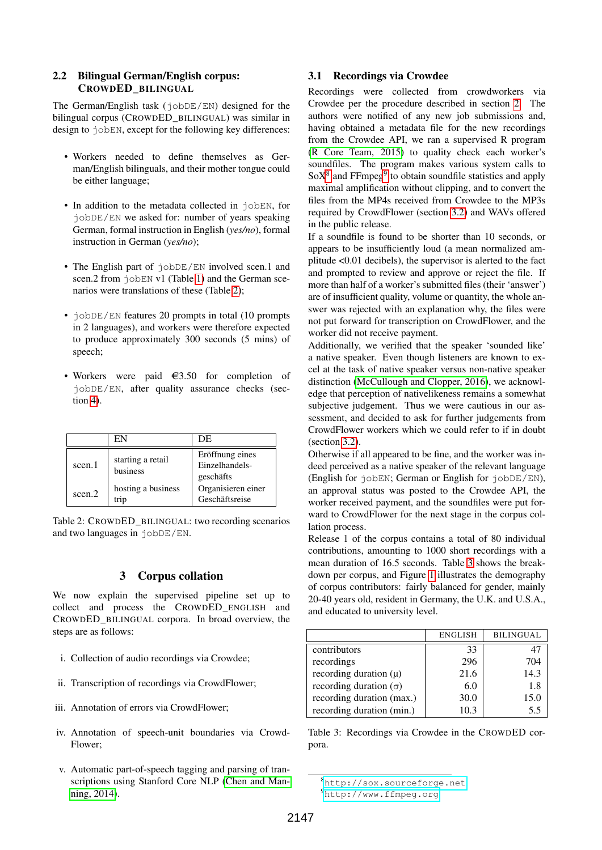#### 2.2 Bilingual German/English corpus: CROWDED\_BILINGUAL

The German/English task (jobDE/EN) designed for the bilingual corpus (CROWDED\_BILINGUAL) was similar in design to jobEN, except for the following key differences:

- Workers needed to define themselves as German/English bilinguals, and their mother tongue could be either language;
- In addition to the metadata collected in  $\exists$ obEN, for jobDE/EN we asked for: number of years speaking German, formal instruction in English (*yes/no*), formal instruction in German (*yes/no*);
- The English part of  $jobDE/EN$  involved scen.1 and scen.2 from  $\exists$  obEN v1 (Table [1\)](#page-1-3) and the German scenarios were translations of these (Table [2\)](#page-2-0);
- jobDE/EN features 20 prompts in total (10 prompts in 2 languages), and workers were therefore expected to produce approximately 300 seconds (5 mins) of speech;
- Workers were paid  $\epsilon$ 3.50 for completion of jobDE/EN, after quality assurance checks (section [4\)](#page-5-0).

|        | EN                            | DE                                             |
|--------|-------------------------------|------------------------------------------------|
| scen.1 | starting a retail<br>business | Eröffnung eines<br>Einzelhandels-<br>geschäfts |
| scen.2 | hosting a business<br>trip    | Organisieren einer<br>Geschäftsreise           |

<span id="page-2-0"></span>Table 2: CROWDED\_BILINGUAL: two recording scenarios and two languages in jobDE/EN.

## 3 Corpus collation

We now explain the supervised pipeline set up to collect and process the CROWDED\_ENGLISH and CROWDED\_BILINGUAL corpora. In broad overview, the steps are as follows:

- i. Collection of audio recordings via Crowdee;
- ii. Transcription of recordings via CrowdFlower;
- iii. Annotation of errors via CrowdFlower;
- iv. Annotation of speech-unit boundaries via Crowd-Flower;
- v. Automatic part-of-speech tagging and parsing of transcriptions using Stanford Core NLP [\(Chen and Man](#page-7-13)[ning, 2014\)](#page-7-13).

### 3.1 Recordings via Crowdee

Recordings were collected from crowdworkers via Crowdee per the procedure described in section [2.](#page-0-4) The authors were notified of any new job submissions and, having obtained a metadata file for the new recordings from the Crowdee API, we ran a supervised R program [\(R Core Team, 2015\)](#page-7-14) to quality check each worker's soundfiles. The program makes various system calls to  $SoX<sup>8</sup>$  $SoX<sup>8</sup>$  $SoX<sup>8</sup>$  and FFmpeg<sup>[9](#page-2-2)</sup> to obtain soundfile statistics and apply maximal amplification without clipping, and to convert the files from the MP4s received from Crowdee to the MP3s required by CrowdFlower (section [3.2\)](#page-3-0) and WAVs offered in the public release.

If a soundfile is found to be shorter than 10 seconds, or appears to be insufficiently loud (a mean normalized amplitude <0.01 decibels), the supervisor is alerted to the fact and prompted to review and approve or reject the file. If more than half of a worker's submitted files (their 'answer') are of insufficient quality, volume or quantity, the whole answer was rejected with an explanation why, the files were not put forward for transcription on CrowdFlower, and the worker did not receive payment.

Additionally, we verified that the speaker 'sounded like' a native speaker. Even though listeners are known to excel at the task of native speaker versus non-native speaker distinction [\(McCullough and Clopper, 2016\)](#page-7-15), we acknowledge that perception of nativelikeness remains a somewhat subjective judgement. Thus we were cautious in our assessment, and decided to ask for further judgements from CrowdFlower workers which we could refer to if in doubt (section [3.2\)](#page-3-0).

Otherwise if all appeared to be fine, and the worker was indeed perceived as a native speaker of the relevant language (English for jobEN; German or English for jobDE/EN), an approval status was posted to the Crowdee API, the worker received payment, and the soundfiles were put forward to CrowdFlower for the next stage in the corpus collation process.

Release 1 of the corpus contains a total of 80 individual contributions, amounting to 1000 short recordings with a mean duration of 16.5 seconds. Table [3](#page-2-3) shows the breakdown per corpus, and Figure [1](#page-3-1) illustrates the demography of corpus contributors: fairly balanced for gender, mainly 20-40 years old, resident in Germany, the U.K. and U.S.A., and educated to university level.

|                               | <b>ENGLISH</b> | <b>BILINGUAL</b> |
|-------------------------------|----------------|------------------|
| contributors                  | 33             |                  |
| recordings                    | 296            | 704              |
| recording duration $(\mu)$    | 21.6           | 14.3             |
| recording duration $(\sigma)$ | 6.0            | 1.8              |
| recording duration (max.)     | 30.0           | 15.0             |
| recording duration (min.)     | 10.3           |                  |

<span id="page-2-3"></span>Table 3: Recordings via Crowdee in the CROWDED corpora.

<span id="page-2-1"></span><sup>8</sup><http://sox.sourceforge.net>

<span id="page-2-2"></span><sup>9</sup><http://www.ffmpeg.org>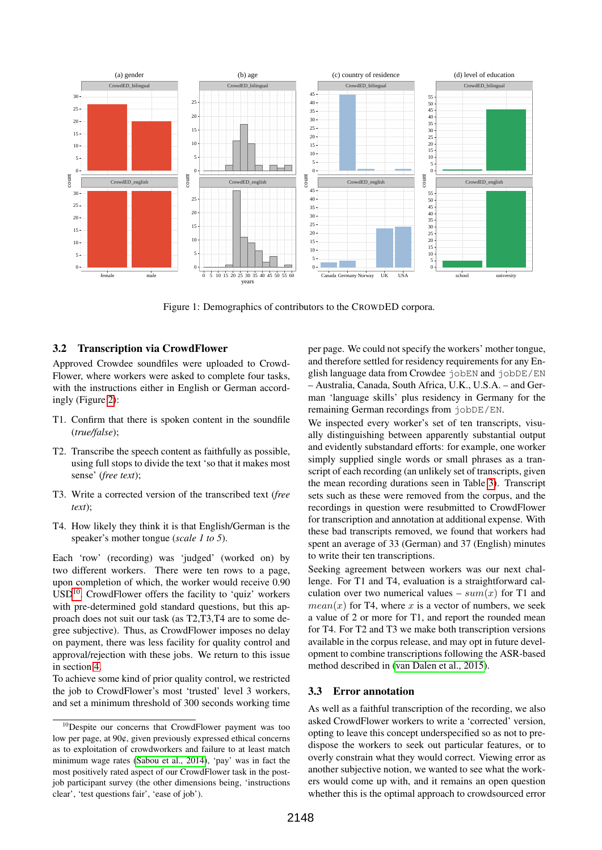

<span id="page-3-1"></span>Figure 1: Demographics of contributors to the CROWDED corpora.

#### <span id="page-3-0"></span>3.2 Transcription via CrowdFlower

Approved Crowdee soundfiles were uploaded to Crowd-Flower, where workers were asked to complete four tasks, with the instructions either in English or German accordingly (Figure [2\)](#page-4-0):

- T1. Confirm that there is spoken content in the soundfile (*true/false*);
- T2. Transcribe the speech content as faithfully as possible, using full stops to divide the text 'so that it makes most sense' (*free text*);
- T3. Write a corrected version of the transcribed text (*free text*);
- T4. How likely they think it is that English/German is the speaker's mother tongue (*scale 1 to 5*).

Each 'row' (recording) was 'judged' (worked on) by two different workers. There were ten rows to a page, upon completion of which, the worker would receive 0.90  $USD<sup>10</sup>$  $USD<sup>10</sup>$  $USD<sup>10</sup>$ . CrowdFlower offers the facility to 'quiz' workers with pre-determined gold standard questions, but this approach does not suit our task (as T2,T3,T4 are to some degree subjective). Thus, as CrowdFlower imposes no delay on payment, there was less facility for quality control and approval/rejection with these jobs. We return to this issue in section [4.](#page-5-0)

To achieve some kind of prior quality control, we restricted the job to CrowdFlower's most 'trusted' level 3 workers, and set a minimum threshold of 300 seconds working time

per page. We could not specify the workers' mother tongue, and therefore settled for residency requirements for any English language data from Crowdee jobEN and jobDE/EN – Australia, Canada, South Africa, U.K., U.S.A. – and German 'language skills' plus residency in Germany for the remaining German recordings from jobDE/EN.

We inspected every worker's set of ten transcripts, visually distinguishing between apparently substantial output and evidently substandard efforts: for example, one worker simply supplied single words or small phrases as a transcript of each recording (an unlikely set of transcripts, given the mean recording durations seen in Table [3\)](#page-2-3). Transcript sets such as these were removed from the corpus, and the recordings in question were resubmitted to CrowdFlower for transcription and annotation at additional expense. With these bad transcripts removed, we found that workers had spent an average of 33 (German) and 37 (English) minutes to write their ten transcriptions.

Seeking agreement between workers was our next challenge. For T1 and T4, evaluation is a straightforward calculation over two numerical values –  $sum(x)$  for T1 and  $mean(x)$  for T4, where x is a vector of numbers, we seek a value of 2 or more for T1, and report the rounded mean for T4. For T2 and T3 we make both transcription versions available in the corpus release, and may opt in future development to combine transcriptions following the ASR-based method described in [\(van Dalen et al., 2015\)](#page-7-1).

#### 3.3 Error annotation

As well as a faithful transcription of the recording, we also asked CrowdFlower workers to write a 'corrected' version, opting to leave this concept underspecified so as not to predispose the workers to seek out particular features, or to overly constrain what they would correct. Viewing error as another subjective notion, we wanted to see what the workers would come up with, and it remains an open question whether this is the optimal approach to crowdsourced error

<span id="page-3-2"></span><sup>10</sup>Despite our concerns that CrowdFlower payment was too low per page, at 90¢, given previously expressed ethical concerns as to exploitation of crowdworkers and failure to at least match minimum wage rates [\(Sabou et al., 2014\)](#page-7-8), 'pay' was in fact the most positively rated aspect of our CrowdFlower task in the postjob participant survey (the other dimensions being, 'instructions clear', 'test questions fair', 'ease of job').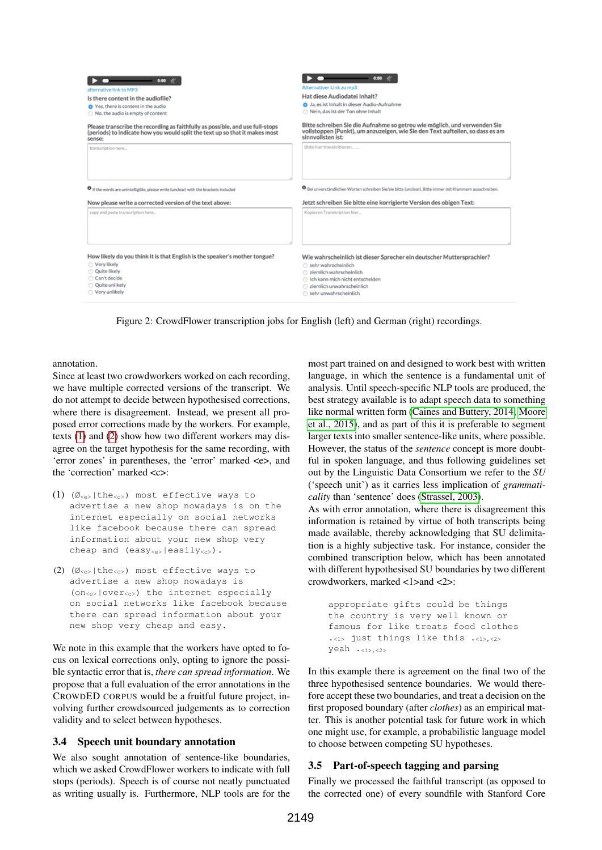| 0:00                                                                                            | 0:00                                                                                                               |  |  |
|-------------------------------------------------------------------------------------------------|--------------------------------------------------------------------------------------------------------------------|--|--|
| alternative link to MP3                                                                         | Alternativer Link zu mp3                                                                                           |  |  |
| Is there content in the audiofile?                                                              | Hat diese Audiodatei Inhalt?                                                                                       |  |  |
| Yes, there is content in the audio                                                              | <b>O</b> Ja, es ist Inhalt in dieser Audio-Aufnahme                                                                |  |  |
| No, the audio is empty of content                                                               | ○ Nein, das ist der Ton ohne Inhalt                                                                                |  |  |
| Please transcribe the recording as faithfully as possible, and use full-stops                   | Bitte schreiben Sie die Aufnahme so getreu wie möglich, und verwenden Sie                                          |  |  |
| (periods) to indicate how you would split the text up so that it makes most                     | vollstoppen (Punkt), um anzuzeigen, wie Sie den Text aufteilen, so dass es am                                      |  |  |
| sense:                                                                                          | sinnvollsten ist:                                                                                                  |  |  |
| transcription here                                                                              | Bitte hier transkribieren                                                                                          |  |  |
| <sup>O</sup> If the words are unintelligible, please write (unclear) with the brackets included | <sup>O</sup> Bei unverständlichen Worten schreiben Sie/sie bitte (unclear). Bitte immer mit Klammern ausschreiben. |  |  |
| Now please write a corrected version of the text above:                                         | Jetzt schreiben Sie bitte eine korrigierte Version des obigen Text:                                                |  |  |
| copy and paste transcription here                                                               | Kopieren Transkription hier                                                                                        |  |  |
| How likely do you think it is that English is the speaker's mother tongue?                      | Wie wahrscheinlich ist dieser Sprecher ein deutscher Muttersprachler?                                              |  |  |
| ○ Very likely                                                                                   | ○ sehr wahrscheinlich                                                                                              |  |  |
| O Quite likely                                                                                  | c) ziemlich wahrscheinlich                                                                                         |  |  |
| Can't decide                                                                                    | ○ Ich kann mich nicht entscheiden                                                                                  |  |  |
| O Quite unlikely                                                                                | c ziemlich unwahrscheinlich                                                                                        |  |  |
| ○ Very unlikely                                                                                 | ○ sehr unwahrscheinlich                                                                                            |  |  |

<span id="page-4-0"></span>Figure 2: CrowdFlower transcription jobs for English (left) and German (right) recordings.

annotation.

Since at least two crowdworkers worked on each recording, we have multiple corrected versions of the transcript. We do not attempt to decide between hypothesised corrections, where there is disagreement. Instead, we present all proposed error corrections made by the workers. For example, texts [\(1\)](#page-4-1) and [\(2\)](#page-4-2) show how two different workers may disagree on the target hypothesis for the same recording, with 'error zones' in parentheses, the 'error' marked <e>, and the 'correction' marked <c>:

- <span id="page-4-1"></span>(1)  $(\emptyset_{\leq e} | \text{the}_{\leq c} )$  most effective ways to advertise a new shop nowadays is on the internet especially on social networks like facebook because there can spread information about your new shop very cheap and (easy<sub><e></sub>|easily<sub><c></sub>).
- <span id="page-4-2"></span>(2) ( $\emptyset$ <sub>ce></sub>|the<sub>sc></sub>) most effective ways to advertise a new shop nowadays is  $(one<sub>es</sub> | over<sub>cos</sub>)$  the internet especially on social networks like facebook because there can spread information about your new shop very cheap and easy.

We note in this example that the workers have opted to focus on lexical corrections only, opting to ignore the possible syntactic error that is, *there can spread information*. We propose that a full evaluation of the error annotations in the CROWDED CORPUS would be a fruitful future project, involving further crowdsourced judgements as to correction validity and to select between hypotheses.

### 3.4 Speech unit boundary annotation

We also sought annotation of sentence-like boundaries, which we asked CrowdFlower workers to indicate with full stops (periods). Speech is of course not neatly punctuated as writing usually is. Furthermore, NLP tools are for the most part trained on and designed to work best with written language, in which the sentence is a fundamental unit of analysis. Until speech-specific NLP tools are produced, the best strategy available is to adapt speech data to something like normal written form [\(Caines and Buttery, 2014;](#page-6-2) [Moore](#page-7-16) [et al., 2015\)](#page-7-16), and as part of this it is preferable to segment larger texts into smaller sentence-like units, where possible. However, the status of the *sentence* concept is more doubtful in spoken language, and thus following guidelines set out by the Linguistic Data Consortium we refer to the *SU* ('speech unit') as it carries less implication of *grammaticality* than 'sentence' does [\(Strassel, 2003\)](#page-7-17).

As with error annotation, where there is disagreement this information is retained by virtue of both transcripts being made available, thereby acknowledging that SU delimitation is a highly subjective task. For instance, consider the combined transcription below, which has been annotated with different hypothesised SU boundaries by two different crowdworkers, marked <1>and <2>:

```
appropriate gifts could be things
the country is very well known or
famous for like treats food clothes
\cdot<1> just things like this \cdot<1>.<2>
yeah \cdot <1>, <2>
```
In this example there is agreement on the final two of the three hypothesised sentence boundaries. We would therefore accept these two boundaries, and treat a decision on the first proposed boundary (after *clothes*) as an empirical matter. This is another potential task for future work in which one might use, for example, a probabilistic language model to choose between competing SU hypotheses.

### 3.5 Part-of-speech tagging and parsing

Finally we processed the faithful transcript (as opposed to the corrected one) of every soundfile with Stanford Core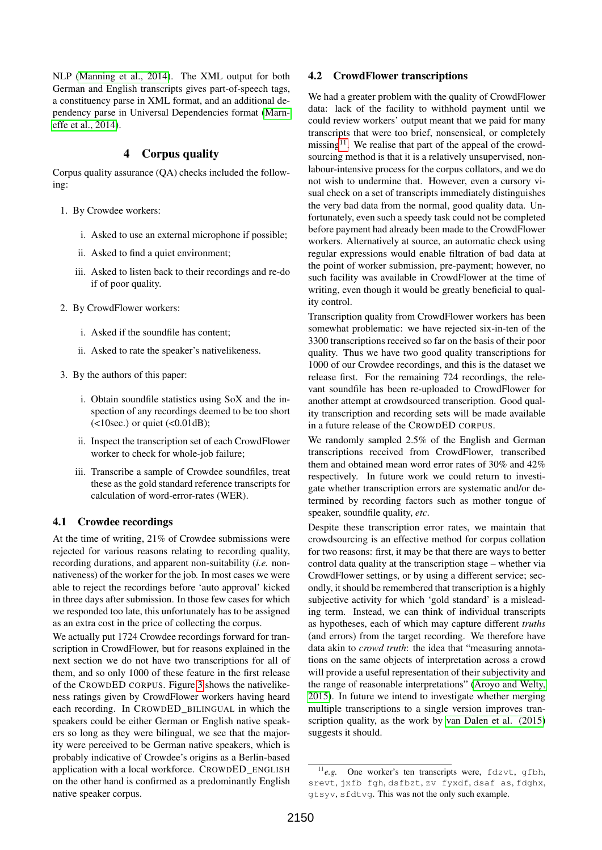NLP [\(Manning et al., 2014\)](#page-7-18). The XML output for both German and English transcripts gives part-of-speech tags, a constituency parse in XML format, and an additional dependency parse in Universal Dependencies format [\(Marn](#page-7-19)[effe et al., 2014\)](#page-7-19).

### 4 Corpus quality

<span id="page-5-0"></span>Corpus quality assurance (QA) checks included the following:

- 1. By Crowdee workers:
	- i. Asked to use an external microphone if possible;
	- ii. Asked to find a quiet environment;
	- iii. Asked to listen back to their recordings and re-do if of poor quality.
- 2. By CrowdFlower workers:
	- i. Asked if the soundfile has content;
	- ii. Asked to rate the speaker's nativelikeness.
- 3. By the authors of this paper:
	- i. Obtain soundfile statistics using SoX and the inspection of any recordings deemed to be too short  $(\leq 10$ sec.) or quiet  $(\leq 0.01$ dB);
	- ii. Inspect the transcription set of each CrowdFlower worker to check for whole-job failure;
	- iii. Transcribe a sample of Crowdee soundfiles, treat these as the gold standard reference transcripts for calculation of word-error-rates (WER).

#### 4.1 Crowdee recordings

At the time of writing, 21% of Crowdee submissions were rejected for various reasons relating to recording quality, recording durations, and apparent non-suitability (*i.e.* nonnativeness) of the worker for the job. In most cases we were able to reject the recordings before 'auto approval' kicked in three days after submission. In those few cases for which we responded too late, this unfortunately has to be assigned as an extra cost in the price of collecting the corpus.

We actually put 1724 Crowdee recordings forward for transcription in CrowdFlower, but for reasons explained in the next section we do not have two transcriptions for all of them, and so only 1000 of these feature in the first release of the CROWDED CORPUS. Figure [3](#page-6-3) shows the nativelikeness ratings given by CrowdFlower workers having heard each recording. In CROWDED\_BILINGUAL in which the speakers could be either German or English native speakers so long as they were bilingual, we see that the majority were perceived to be German native speakers, which is probably indicative of Crowdee's origins as a Berlin-based application with a local workforce. CROWDED\_ENGLISH on the other hand is confirmed as a predominantly English native speaker corpus.

#### 4.2 CrowdFlower transcriptions

We had a greater problem with the quality of CrowdFlower data: lack of the facility to withhold payment until we could review workers' output meant that we paid for many transcripts that were too brief, nonsensical, or completely missing<sup>[11](#page-5-1)</sup>. We realise that part of the appeal of the crowdsourcing method is that it is a relatively unsupervised, nonlabour-intensive process for the corpus collators, and we do not wish to undermine that. However, even a cursory visual check on a set of transcripts immediately distinguishes the very bad data from the normal, good quality data. Unfortunately, even such a speedy task could not be completed before payment had already been made to the CrowdFlower workers. Alternatively at source, an automatic check using regular expressions would enable filtration of bad data at the point of worker submission, pre-payment; however, no such facility was available in CrowdFlower at the time of writing, even though it would be greatly beneficial to quality control.

Transcription quality from CrowdFlower workers has been somewhat problematic: we have rejected six-in-ten of the 3300 transcriptions received so far on the basis of their poor quality. Thus we have two good quality transcriptions for 1000 of our Crowdee recordings, and this is the dataset we release first. For the remaining 724 recordings, the relevant soundfile has been re-uploaded to CrowdFlower for another attempt at crowdsourced transcription. Good quality transcription and recording sets will be made available in a future release of the CROWDED CORPUS.

We randomly sampled 2.5% of the English and German transcriptions received from CrowdFlower, transcribed them and obtained mean word error rates of 30% and 42% respectively. In future work we could return to investigate whether transcription errors are systematic and/or determined by recording factors such as mother tongue of speaker, soundfile quality, *etc*.

Despite these transcription error rates, we maintain that crowdsourcing is an effective method for corpus collation for two reasons: first, it may be that there are ways to better control data quality at the transcription stage – whether via CrowdFlower settings, or by using a different service; secondly, it should be remembered that transcription is a highly subjective activity for which 'gold standard' is a misleading term. Instead, we can think of individual transcripts as hypotheses, each of which may capture different *truths* (and errors) from the target recording. We therefore have data akin to *crowd truth*: the idea that "measuring annotations on the same objects of interpretation across a crowd will provide a useful representation of their subjectivity and the range of reasonable interpretations" [\(Aroyo and Welty,](#page-6-4) [2015\)](#page-6-4). In future we intend to investigate whether merging multiple transcriptions to a single version improves transcription quality, as the work by [van Dalen et al. \(2015\)](#page-7-1) suggests it should.

<span id="page-5-1"></span><sup>11</sup>*e.g.* One worker's ten transcripts were, fdzvt, gfbh, srevt, jxfb fgh, dsfbzt, zv fyxdf, dsaf as, fdghx, gtsyv, sfdtvg. This was not the only such example.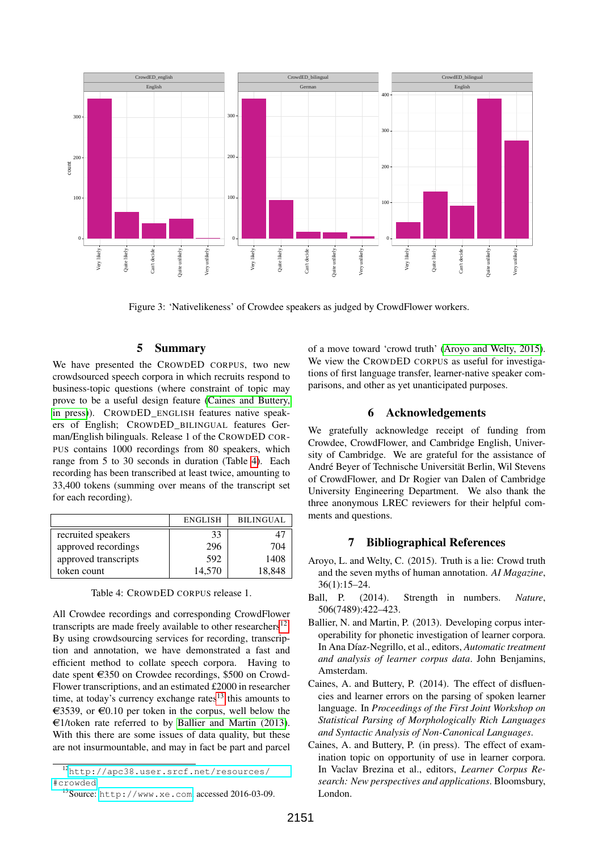

<span id="page-6-3"></span>Figure 3: 'Nativelikeness' of Crowdee speakers as judged by CrowdFlower workers.

## 5 Summary

We have presented the CROWDED CORPUS, two new crowdsourced speech corpora in which recruits respond to business-topic questions (where constraint of topic may prove to be a useful design feature [\(Caines and Buttery,](#page-6-5) [in press\)](#page-6-5)). CROWDED\_ENGLISH features native speakers of English; CROWDED\_BILINGUAL features German/English bilinguals. Release 1 of the CROWDED COR-PUS contains 1000 recordings from 80 speakers, which range from 5 to 30 seconds in duration (Table [4\)](#page-6-6). Each recording has been transcribed at least twice, amounting to 33,400 tokens (summing over means of the transcript set for each recording).

|                      | <b>ENGLISH</b> | <b>BILINGUAL</b> |
|----------------------|----------------|------------------|
| recruited speakers   | 33             |                  |
| approved recordings  | 296            | 704              |
| approved transcripts | 592            | 1408             |
| token count          | 14,570         | 18,848           |

<span id="page-6-6"></span>Table 4: CROWDED CORPUS release 1.

All Crowdee recordings and corresponding CrowdFlower transcripts are made freely available to other researchers $^{12}$  $^{12}$  $^{12}$ . By using crowdsourcing services for recording, transcription and annotation, we have demonstrated a fast and efficient method to collate speech corpora. Having to date spent  $\epsilon$ 350 on Crowdee recordings, \$500 on Crowd-Flower transcriptions, and an estimated £2000 in researcher time, at today's currency exchange rates $13$  this amounts to  $\epsilon$ 3539, or  $\epsilon$ 0.10 per token in the corpus, well below the  $\epsilon$ 1/token rate referred to by [Ballier and Martin \(2013\)](#page-6-0). With this there are some issues of data quality, but these are not insurmountable, and may in fact be part and parcel of a move toward 'crowd truth' [\(Aroyo and Welty, 2015\)](#page-6-4). We view the CROWDED CORPUS as useful for investigations of first language transfer, learner-native speaker comparisons, and other as yet unanticipated purposes.

#### 6 Acknowledgements

We gratefully acknowledge receipt of funding from Crowdee, CrowdFlower, and Cambridge English, University of Cambridge. We are grateful for the assistance of André Beyer of Technische Universität Berlin, Wil Stevens of CrowdFlower, and Dr Rogier van Dalen of Cambridge University Engineering Department. We also thank the three anonymous LREC reviewers for their helpful comments and questions.

#### 7 Bibliographical References

- <span id="page-6-4"></span>Aroyo, L. and Welty, C. (2015). Truth is a lie: Crowd truth and the seven myths of human annotation. *AI Magazine*, 36(1):15–24.
- <span id="page-6-1"></span>Ball, P. (2014). Strength in numbers. *Nature*, 506(7489):422–423.
- <span id="page-6-0"></span>Ballier, N. and Martin, P. (2013). Developing corpus interoperability for phonetic investigation of learner corpora. In Ana Díaz-Negrillo, et al., editors, *Automatic treatment and analysis of learner corpus data*. John Benjamins, Amsterdam.
- <span id="page-6-2"></span>Caines, A. and Buttery, P. (2014). The effect of disfluencies and learner errors on the parsing of spoken learner language. In *Proceedings of the First Joint Workshop on Statistical Parsing of Morphologically Rich Languages and Syntactic Analysis of Non-Canonical Languages*.
- <span id="page-6-5"></span>Caines, A. and Buttery, P. (in press). The effect of examination topic on opportunity of use in learner corpora. In Vaclav Brezina et al., editors, *Learner Corpus Research: New perspectives and applications*. Bloomsbury, London.

<span id="page-6-7"></span><sup>12</sup>[http://apc38.user.srcf.net/resources/](http://apc38.user.srcf.net/resources/#crowded) [#crowded](http://apc38.user.srcf.net/resources/#crowded)

<span id="page-6-8"></span><sup>13</sup>Source: <http://www.xe.com>, accessed 2016-03-09.